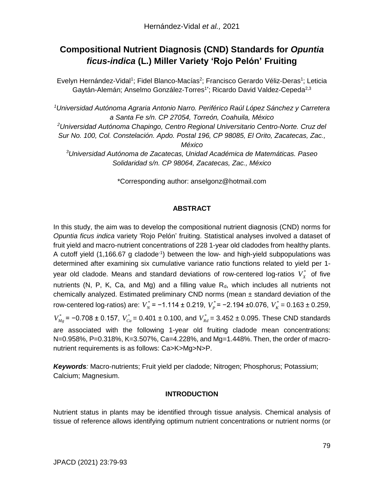# **Compositional Nutrient Diagnosis (CND) Standards for** *Opuntia ficus-indica* **(L.) Miller Variety 'Rojo Pelón' Fruiting**

Evelyn Hernández-Vidal<sup>1</sup>; Fidel Blanco-Macías<sup>2</sup>; Francisco Gerardo Véliz-Deras<sup>1</sup>; Leticia Gaytán-Alemán; Anselmo González-Torres<sup>1\*</sup>; Ricardo David Valdez-Cepeda<sup>2,3</sup>

*<sup>1</sup>Universidad Autónoma Agraria Antonio Narro. Periférico Raúl López Sánchez y Carretera a Santa Fe s/n. CP 27054, Torreón, Coahuila, México <sup>2</sup>Universidad Autónoma Chapingo, Centro Regional Universitario Centro-Norte. Cruz del Sur No. 100, Col. Constelación. Apdo. Postal 196, CP 98085, El Orito, Zacatecas, Zac., México <sup>3</sup>Universidad Autónoma de Zacatecas, Unidad Académica de Matemáticas. Paseo Solidaridad s/n. CP 98064, Zacatecas, Zac., México*

\*Corresponding author: anselgonz@hotmail.com

## **ABSTRACT**

In this study, the aim was to develop the compositional nutrient diagnosis (CND) norms for *Opuntia ficus indica* variety 'Rojo Pelón' fruiting. Statistical analyses involved a dataset of fruit yield and macro-nutrient concentrations of 228 1-year old cladodes from healthy plants. A cutoff yield (1,166.67 g cladode<sup>-1</sup>) between the low- and high-yield subpopulations was determined after examining six cumulative variance ratio functions related to yield per 1 year old cladode. Means and standard deviations of row-centered log-ratios  $V_X^*$  of five nutrients (N, P, K, Ca, and Mg) and a filling value  $R_d$ , which includes all nutrients not chemically analyzed. Estimated preliminary CND norms (mean  $\pm$  standard deviation of the row-centered log-ratios) are:  $V_N^*$  = -1.114 ± 0.219,  $V_P^*$  = -2.194 ±0.076,  $V_K^*$  = 0.163 ± 0.259, *V*<sub>Mg</sub> = −0.708 ± 0.157, V $^*_{Ca}$  = 0.401 ± 0.100, and V $^*_{Rd}$  = 3.452 ± 0.095. These CND standards are associated with the following 1-year old fruiting cladode mean concentrations: N=0.958%, P=0.318%, K=3.507%, Ca=4.228%, and Mg=1.448%. Then, the order of macronutrient requirements is as follows: Ca>K>Mg>N>P.

*Keywords:* Macro-nutrients; Fruit yield per cladode; Nitrogen; Phosphorus; Potassium; Calcium; Magnesium.

## **INTRODUCTION**

Nutrient status in plants may be identified through tissue analysis. Chemical analysis of tissue of reference allows identifying optimum nutrient concentrations or nutrient norms (or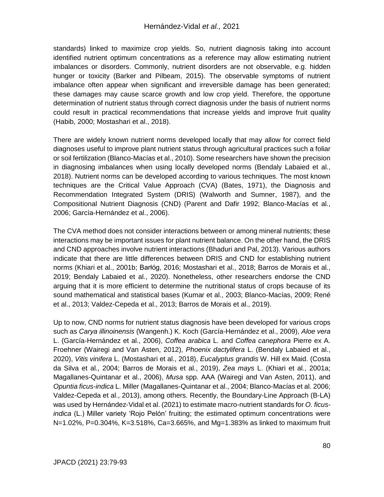standards) linked to maximize crop yields. So, nutrient diagnosis taking into account identified nutrient optimum concentrations as a reference may allow estimating nutrient imbalances or disorders. Commonly, nutrient disorders are not observable, e.g. hidden hunger or toxicity (Barker and Pilbeam, 2015). The observable symptoms of nutrient imbalance often appear when significant and irreversible damage has been generated; these damages may cause scarce growth and low crop yield. Therefore, the opportune determination of nutrient status through correct diagnosis under the basis of nutrient norms could result in practical recommendations that increase yields and improve fruit quality (Habib, 2000; Mostashari et al., 2018).

There are widely known nutrient norms developed locally that may allow for correct field diagnoses useful to improve plant nutrient status through agricultural practices such a foliar or soil fertilization (Blanco-Macías et al., 2010). Some researchers have shown the precision in diagnosing imbalances when using locally developed norms (Bendaly Labaied et al., 2018). Nutrient norms can be developed according to various techniques. The most known techniques are the Critical Value Approach (CVA) (Bates, 1971), the Diagnosis and Recommendation Integrated System (DRIS) (Walworth and Sumner, 1987), and the Compositional Nutrient Diagnosis (CND) (Parent and Dafir 1992; Blanco-Macías et al., 2006; García-Hernández et al., 2006).

The CVA method does not consider interactions between or among mineral nutrients; these interactions may be important issues for plant nutrient balance. On the other hand, the DRIS and CND approaches involve nutrient interactions (Bhaduri and Pal, 2013). Various authors indicate that there are little differences between DRIS and CND for establishing nutrient norms (Khiari et al., 2001b; Barłóg, 2016; Mostashari et al., 2018; Barros de Morais et al., 2019; Bendaly Labaied et al., 2020). Nonetheless, other researchers endorse the CND arguing that it is more efficient to determine the nutritional status of crops because of its sound mathematical and statistical bases (Kumar et al., 2003; Blanco-Macías, 2009; René et al., 2013; Valdez-Cepeda et al., 2013; Barros de Morais et al., 2019).

Up to now, CND norms for nutrient status diagnosis have been developed for various crops such as *Carya illinoinensis* (Wangenh.) K. Koch (García-Hernández et al., 2009), *Aloe vera* L. (García-Hernández et al., 2006), *Coffea arabica* L. and *Coffea canephora* Pierre ex A. Froehner (Wairegi and Van Asten, 2012), *Phoenix dactylifera* L. (Bendaly Labaied et al., 2020), *Vitis vinifera* L. (Mostashari et al., 2018), *Eucalyptus grandis* W. Hill ex Maid. (Costa da Silva et al., 2004; Barros de Morais et al., 2019), *Zea mays* L. (Khiari et al., 2001a; Magallanes-Quintanar et al., 2006), *Musa* spp. AAA (Wairegi and Van Asten, 2011), and *Opuntia ficus-indica* L. Miller (Magallanes-Quintanar et al., 2004; Blanco-Macías et al. 2006; Valdez-Cepeda et al., 2013), among others. Recently, the Boundary-Line Approach (B-LA) was used by Hernández-Vidal et al. (2021) to estimate macro-nutrient standards for *O. ficusindica* (L.) Miller variety 'Rojo Pelón' fruiting; the estimated optimum concentrations were N=1.02%, P=0.304%, K=3.518%, Ca=3.665%, and Mg=1.383% as linked to maximum fruit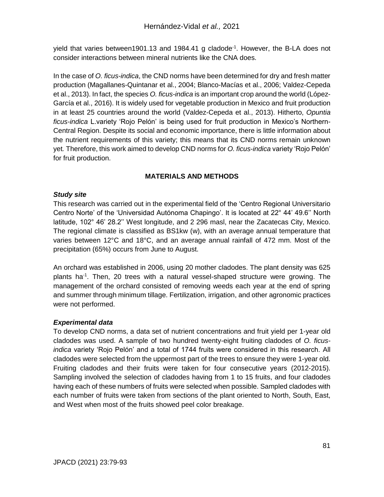yield that varies between1901.13 and 1984.41 g cladode<sup>-1</sup>. However, the B-LA does not consider interactions between mineral nutrients like the CNA does.

In the case of *O. ficus-indica*, the CND norms have been determined for dry and fresh matter production (Magallanes-Quintanar et al., 2004; Blanco-Macías et al., 2006; Valdez-Cepeda et al., 2013). In fact, the species *O. ficus-indica* is an important crop around the world (López-García et al., 2016). It is widely used for vegetable production in Mexico and fruit production in at least 25 countries around the world (Valdez-Cepeda et al., 2013). Hitherto, *Opuntia ficus-indica* L.variety 'Rojo Pelón' is being used for fruit production in Mexico's Northern-Central Region. Despite its social and economic importance, there is little information about the nutrient requirements of this variety; this means that its CND norms remain unknown yet*.* Therefore, this work aimed to develop CND norms for *O. ficus-indica* variety 'Rojo Pelón' for fruit production.

# **MATERIALS AND METHODS**

#### *Study site*

This research was carried out in the experimental field of the 'Centro Regional Universitario Centro Norte' of the 'Universidad Autónoma Chapingo'. It is located at 22° 44' 49.6'' North latitude, 102° 46' 28.2'' West longitude, and 2 296 masl, near the Zacatecas City, Mexico. The regional climate is classified as BS1kw (w), with an average annual temperature that varies between 12°C and 18°C, and an average annual rainfall of 472 mm. Most of the precipitation (65%) occurs from June to August.

An orchard was established in 2006, using 20 mother cladodes. The plant density was 625 plants ha<sup>-1</sup>. Then, 20 trees with a natural vessel-shaped structure were growing. The management of the orchard consisted of removing weeds each year at the end of spring and summer through minimum tillage. Fertilization, irrigation, and other agronomic practices were not performed.

## *Experimental data*

To develop CND norms, a data set of nutrient concentrations and fruit yield per 1-year old cladodes was used. A sample of two hundred twenty-eight fruiting cladodes of *O. ficusindica* variety 'Rojo Pelón' and a total of 1744 fruits were considered in this research. All cladodes were selected from the uppermost part of the trees to ensure they were 1-year old. Fruiting cladodes and their fruits were taken for four consecutive years (2012-2015). Sampling involved the selection of cladodes having from 1 to 15 fruits, and four cladodes having each of these numbers of fruits were selected when possible. Sampled cladodes with each number of fruits were taken from sections of the plant oriented to North, South, East, and West when most of the fruits showed peel color breakage.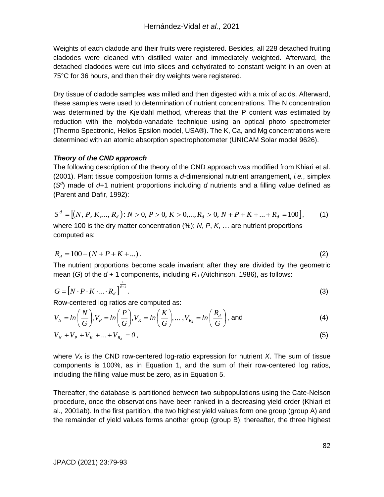Weights of each cladode and their fruits were registered. Besides, all 228 detached fruiting cladodes were cleaned with distilled water and immediately weighted. Afterward, the detached cladodes were cut into slices and dehydrated to constant weight in an oven at 75°C for 36 hours, and then their dry weights were registered.

Dry tissue of cladode samples was milled and then digested with a mix of acids. Afterward, these samples were used to determination of nutrient concentrations. The N concentration was determined by the Kjeldahl method, whereas that the P content was estimated by reduction with the molybdo-vanadate technique using an optical photo spectrometer (Thermo Spectronic, Helios Epsilon model, USA®). The K, Ca, and Mg concentrations were determined with an atomic absorption spectrophotometer (UNICAM Solar model 9626).

#### *Theory of the CND approach*

The following description of the theory of the CND approach was modified from Khiari et al. (2001). Plant tissue composition forms a *d-*dimensional nutrient arrangement, *i.e.*, simplex (S<sup>d</sup>) made of d+1 nutrient proportions including *d* nutrients and a filling value defined as (Parent and Dafir, 1992):

$$
S^d = [(N, P, K, \dots, R_d): N > 0, P > 0, K > 0, \dots, R_d > 0, N + P + K + \dots + R_d = 100],
$$
\n(1)

\nwhere 100 is the dry matter concentration (%); N, P, K, \dots are nutrient proportions computed as:

$$
R_d = 100 - (N + P + K + \dots). \tag{2}
$$

The nutrient proportions become scale invariant after they are divided by the geometric mean (*G*) of the  $d + 1$  components, including  $R_d$  (Aitchinson, 1986), as follows:

$$
G = \left[ N \cdot P \cdot K \cdot \ldots \cdot R_d \right]^{\frac{1}{d+1}}.
$$

Row-centered log ratios are computed as:

$$
V_N = \ln\left(\frac{N}{G}\right), V_P = \ln\left(\frac{P}{G}\right), V_K = \ln\left(\frac{K}{G}\right), \dots, V_{R_d} = \ln\left(\frac{R_d}{G}\right), \text{ and}
$$
 (4)

$$
V_N + V_P + V_K + \dots + V_{R_d} = 0,
$$
\n(5)

where  $V_X$  is the CND row-centered log-ratio expression for nutrient  $X$ . The sum of tissue components is 100%, as in Equation 1, and the sum of their row-centered log ratios, including the filling value must be zero, as in Equation 5.

Thereafter, the database is partitioned between two subpopulations using the Cate-Nelson procedure, once the observations have been ranked in a decreasing yield order (Khiari et al., 2001ab). In the first partition, the two highest yield values form one group (group A) and the remainder of yield values forms another group (group B); thereafter, the three highest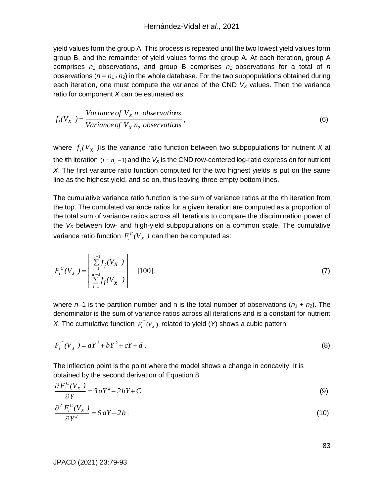yield values form the group A. This process is repeated until the two lowest yield values form group B, and the remainder of yield values forms the group A. At each iteration, group A comprises  $n_1$  observations, and group B comprises  $n_2$  observations for a total of *n* observations ( $n = n_1 + n_2$ ) in the whole database. For the two subpopulations obtained during each iteration, one must compute the variance of the CND *V<sup>X</sup>* values. Then the variance ratio for component *X* can be estimated as:

$$
f_i(V_X) = \frac{Variance \ of \ V_X \ n_1 \ observations}{Variance \ of \ V_X \ n_2 \ observations},
$$
\n(6)

where  $f_i(V_X)$  is the variance ratio function between two subpopulations for nutrient X at the *i*th iteration  $(i = n<sub>i</sub> - 1)$  and the  $V_X$  is the CND row-centered log-ratio expression for nutrient *X*. The first variance ratio function computed for the two highest yields is put on the same line as the highest yield, and so on, thus leaving three empty bottom lines.

The cumulative variance ratio function is the sum of variance ratios at the *i*th iteration from the top. The cumulated variance ratios for a given iteration are computed as a proportion of the total sum of variance ratios across all iterations to compare the discrimination power of the *V<sup>X</sup>* between low- and high-yield subpopulations on a common scale. The cumulative variance ratio function  $F_i^C(V_X^-)$  $\iota_i^{\iota}$ *C* $(V_X)$  can then be computed as:

$$
F_i^C(V_X) = \left[\frac{\sum_{i=1}^{n-1} f_i(V_X)}{\sum_{i=1}^{n-3} f_i(V_X)}\right] \cdot [100],\tag{7}
$$

where  $n-1$  is the partition number and n is the total number of observations  $(n_1 + n_2)$ . The denominator is the sum of variance ratios across all iterations and is a constant for nutrient *X*. The cumulative function  $F_i^C(V_X)$  related to yield (*Y*) shows a cubic pattern:

$$
F_i^C(V_X) = aY^3 + bY^2 + cY + d \tag{8}
$$

The inflection point is the point where the model shows a change in concavity. It is obtained by the second derivation of Equation 8:

$$
\frac{\partial F_i^C(V_X)}{\partial Y} = 3aY^2 - 2bY + C
$$
\n(9)

$$
\frac{\partial^2 F_i^c(V_X)}{\partial Y^2} = 6 aY - 2b \tag{10}
$$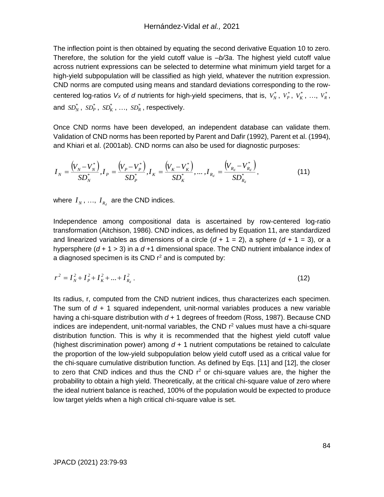The inflection point is then obtained by equating the second derivative Equation 10 to zero. Therefore, the solution for the yield cutoff value is *–b/3a*. The highest yield cutoff value across nutrient expressions can be selected to determine what minimum yield target for a high-yield subpopulation will be classified as high yield, whatever the nutrition expression. CND norms are computed using means and standard deviations corresponding to the rowcentered log-ratios  $V_x$  of *d* nutrients for high-yield specimens, that is,  $V_N^*$ ,  $V_F^*$ ,  $V_K^*$ , ...,  $V_R^*$ , and  $SD_N^*$ ,  $SD_P^*$ ,  $SD_K^*$ , ...,  $SD_R^*$ , respectively.

Once CND norms have been developed, an independent database can validate them. Validation of CND norms has been reported by Parent and Dafir (1992), Parent et al. (1994), and Khiari et al. (2001ab). CND norms can also be used for diagnostic purposes:

$$
I_N = \frac{(V_N - V_N^*)}{SD_N^*}, I_P = \frac{(V_P - V_P^*)}{SD_P^*}, I_K = \frac{(V_K - V_K^*)}{SD_K^*}, \dots, I_{R_d} = \frac{(V_{R_d} - V_{R_d}^*)}{SD_{R_d}^*},
$$
(11)

where  $I_N$ , ...,  $I_{R_d}$  are the CND indices.

Independence among compositional data is ascertained by row-centered log-ratio transformation (Aitchison, 1986). CND indices, as defined by Equation 11, are standardized and linearized variables as dimensions of a circle  $(d + 1 = 2)$ , a sphere  $(d + 1 = 3)$ , or a hypersphere (*d* + 1 > 3) in a *d* +1 dimensional space. The CND nutrient imbalance index of a diagnosed specimen is its CND  $r^2$  and is computed by:

$$
r^{2} = I_{N}^{2} + I_{P}^{2} + I_{K}^{2} + ... + I_{R_{d}}^{2}.
$$
 (12)

Its radius, r, computed from the CND nutrient indices, thus characterizes each specimen. The sum of *d* + 1 squared independent, unit-normal variables produces a new variable having a chi-square distribution with  $d + 1$  degrees of freedom (Ross, 1987). Because CND indices are independent, unit-normal variables, the CND  $r<sup>2</sup>$  values must have a chi-square distribution function. This is why it is recommended that the highest yield cutoff value (highest discrimination power) among *d* + 1 nutrient computations be retained to calculate the proportion of the low-yield subpopulation below yield cutoff used as a critical value for the chi-square cumulative distribution function. As defined by Eqs. [11] and [12], the closer to zero that CND indices and thus the CND  $r^2$  or chi-square values are, the higher the probability to obtain a high yield. Theoretically, at the critical chi-square value of zero where the ideal nutrient balance is reached, 100% of the population would be expected to produce low target yields when a high critical chi-square value is set.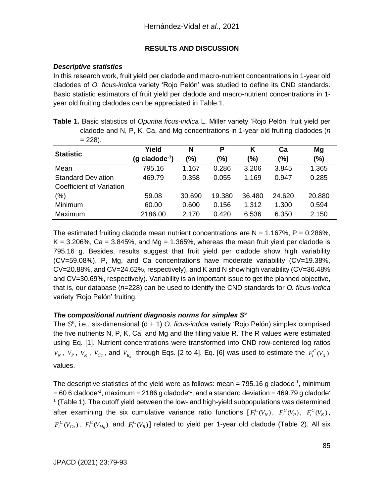## **RESULTS AND DISCUSSION**

### *Descriptive statistics*

In this research work, fruit yield per cladode and macro-nutrient concentrations in 1-year old cladodes of *O. ficus-indica* variety 'Rojo Pelón' was studied to define its CND standards. Basic statistic estimators of fruit yield per cladode and macro-nutrient concentrations in 1 year old fruiting cladodes can be appreciated in Table 1.

| Table 1. Basic statistics of Opuntia ficus-indica L. Miller variety 'Rojo Pelón' fruit yield per |  |  |
|--------------------------------------------------------------------------------------------------|--|--|
| cladode and N, P, K, Ca, and Mg concentrations in 1-year old fruiting cladodes ( $n$             |  |  |
| $= 228$ ).                                                                                       |  |  |

| <b>Statistic</b>                | Yield                      | N      | Ρ      | Κ      | Ca     | Mg     |
|---------------------------------|----------------------------|--------|--------|--------|--------|--------|
|                                 | (g cladode <sup>-1</sup> ) | (%)    | (%)    | (%)    | (%)    | $(\%)$ |
| Mean                            | 795.16                     | 1.167  | 0.286  | 3.206  | 3.845  | 1.365  |
| <b>Standard Deviation</b>       | 469.79                     | 0.358  | 0.055  | 1.169  | 0.947  | 0.285  |
| <b>Coefficient of Variation</b> |                            |        |        |        |        |        |
| $(\% )$                         | 59.08                      | 30.690 | 19.380 | 36.480 | 24.620 | 20.880 |
| Minimum                         | 60.00                      | 0.600  | 0.156  | 1.312  | 1.300  | 0.594  |
| Maximum                         | 2186.00                    | 2.170  | 0.420  | 6.536  | 6.350  | 2.150  |

The estimated fruiting cladode mean nutrient concentrations are  $N = 1.167\%$ ,  $P = 0.286\%$ ,  $K = 3.206\%$ , Ca = 3.845%, and Mg = 1.365%, whereas the mean fruit yield per cladode is 795.16 g. Besides, results suggest that fruit yield per cladode show high variability (CV=59.08%), P, Mg, and Ca concentrations have moderate variability (CV=19.38%,  $CV=20.88\%$ , and  $CV=24.62\%$ , respectively), and K and N show high variability ( $CV=36.48\%$ and CV=30.69%, respectively). Variability is an important issue to get the planned objective, that is, our database (*n*=228) can be used to identify the CND standards for *O. ficus-indica* variety 'Rojo Pelón' fruiting.

## *The compositional nutrient diagnosis norms for simplex S***<sup>5</sup>**

The *S* 5 , i.e., six-dimensional (d + 1) *O. ficus-indica* variety 'Rojo Pelón) simplex comprised the five nutrients N, P, K, Ca, and Mg and the filling value R. The R values were estimated using Eq. [1]. Nutrient concentrations were transformed into CND row-centered log ratios  $V_N$ ,  $V_P$ ,  $V_K$ ,  $V_{Ca}$ , and  $V_{R_d}$  through Eqs. [2 to 4]. Eq. [6] was used to estimate the  $F_i^C(V_X)$ values.

The descriptive statistics of the yield were as follows: mean = 795.16 g cladode<sup>-1</sup>, minimum  $= 60$  6 cladode<sup>-1</sup>, maximum = 2186 g cladode<sup>-1</sup>, and a standard deviation = 469.79 g cladode<sup>-</sup>  $1$  (Table 1). The cutoff yield between the low- and high-yield subpopulations was determined after examining the six cumulative variance ratio functions  $[F_i^C(V_N), F_i^C(V_p), F_i^C(V_K)$ ,  $F_i^C(V_{Ca})$ ,  $F_i^C(V_{Mg})$  and  $F_i^C(V_R)$ ] related to yield per 1-year old cladode (Table 2). All six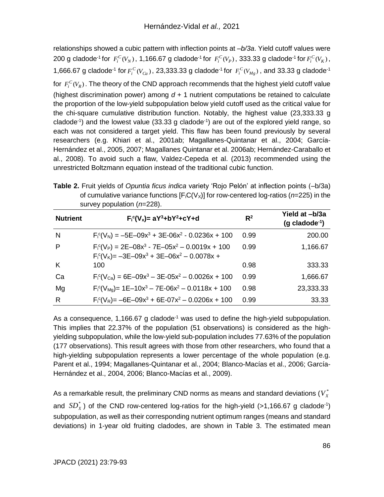relationships showed a cubic pattern with inflection points at *–b/3a*. Yield cutoff values were 200 g cladode<sup>-1</sup> for  $F_i^C(V_N)$ , 1,166.67 g cladode<sup>-1</sup> for  $F_i^C(V_p)$ , 333.33 g cladode<sup>-1</sup> for  $F_i^C(V_K)$ , 1,666.67 g cladode<sup>-1</sup> for  $F_i^C(V_{Ca})$ , 23,333.33 g cladode<sup>-1</sup> for  $F_i^C(V_{Mg})$ , and 33.33 g cladode<sup>-1</sup> for  $F_i^C(V_R)$ . The theory of the CND approach recommends that the highest yield cutoff value (highest discrimination power) among *d* + 1 nutrient computations be retained to calculate the proportion of the low-yield subpopulation below yield cutoff used as the critical value for the chi-square cumulative distribution function. Notably, the highest value (23,333.33 g cladode-1 ) and the lowest value (33.33 g cladode-1 ) are out of the explored yield range, so each was not considered a target yield. This flaw has been found previously by several researchers (e.g. Khiari et al., 2001ab; Magallanes-Quintanar et al., 2004; García-Hernández et al., 2005, 2007; Magallanes Quintanar et al. 2006ab; Hernández-Caraballo et al., 2008). To avoid such a flaw, Valdez-Cepeda et al. (2013) recommended using the unrestricted Boltzmann equation instead of the traditional cubic function.

**Table 2.** Fruit yields of *Opuntia ficus indica* variety 'Rojo Pelón' at inflection points (*–*b/3a) of cumulative variance functions  $[F_iC(V_X)]$  for row-centered log-ratios ( $n=225$ ) in the survey population (*n*=228).

| <b>Nutrient</b> | $F_i^c(V_x) = aY^3 + bY^2 + cY + d$                                                                                             | $R^2$ | Yield at -b/3a<br>$(g$ cladode <sup>-1</sup> ) |
|-----------------|---------------------------------------------------------------------------------------------------------------------------------|-------|------------------------------------------------|
| N               | $F_1^{\text{c}}(V_N) = -5E - 09x^3 + 3E - 06x^2 - 0.0236x + 100$                                                                | 0.99  | 200.00                                         |
| P               | $F_i^{\text{c}}(V_P) = 2E - 08x^3 - 7E - 05x^2 - 0.0019x + 100$<br>$F_i^{\text{c}}(V_K) = -3E - 09x^3 + 3E - 06x^2 - 0.0078x +$ | 0.99  | 1,166.67                                       |
| K               | 100                                                                                                                             | 0.98  | 333.33                                         |
| Ca              | $F_i^c(V_{Ca}) = 6E-09x^3 - 3E-05x^2 - 0.0026x + 100$                                                                           | 0.99  | 1,666.67                                       |
| Mg              | $F_i^c(V_{Ma}) = 1E-10x^3 - 7E-06x^2 - 0.0118x + 100$                                                                           | 0.98  | 23,333.33                                      |
| R               | $F_1^{\text{c}}(V_R) = -6E - 09x^3 + 6E - 07x^2 - 0.0206x + 100$                                                                | 0.99  | 33.33                                          |

As a consequence, 1,166.67 g cladode<sup>-1</sup> was used to define the high-yield subpopulation. This implies that 22.37% of the population (51 observations) is considered as the highyielding subpopulation, while the low-yield sub-population includes 77.63% of the population (177 observations). This result agrees with those from other researchers, who found that a high-yielding subpopulation represents a lower percentage of the whole population (e.g. Parent et al., 1994; Magallanes-Quintanar et al., 2004; Blanco-Macías et al., 2006; García-Hernández et al., 2004, 2006; Blanco-Macías et al., 2009).

As a remarkable result, the preliminary CND norms as means and standard deviations ( $V_{X}^{\ast}$ and  $SD_X^*$ ) of the CND row-centered log-ratios for the high-yield (>1,166.67 g cladode<sup>-1</sup>) subpopulation, as well as their corresponding nutrient optimum ranges (means and standard deviations) in 1-year old fruiting cladodes, are shown in Table 3. The estimated mean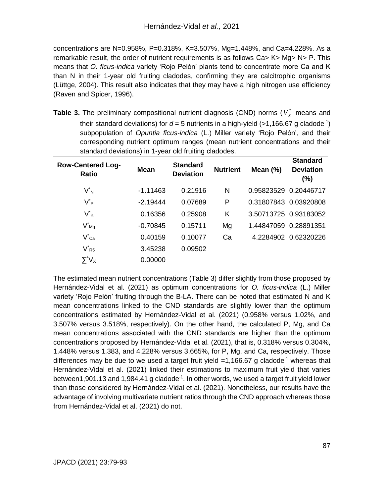concentrations are N=0.958%, P=0.318%, K=3.507%, Mg=1.448%, and Ca=4.228%. As a remarkable result, the order of nutrient requirements is as follows Ca> K> Mg> N> P. This means that *O. ficus-indica* variety 'Rojo Pelón' plants tend to concentrate more Ca and K than N in their 1-year old fruiting cladodes, confirming they are calcitrophic organisms (Lüttge, 2004). This result also indicates that they may have a high nitrogen use efficiency (Raven and Spicer, 1996).

**Table 3.** The preliminary compositional nutrient diagnosis (CND) norms ( $V_x^*$  means and their standard deviations) for  $d = 5$  nutrients in a high-yield (>1,166.67 g cladode<sup>-1</sup>) subpopulation of *Opuntia ficus-indica* (L.) Miller variety 'Rojo Pelón', and their corresponding nutrient optimum ranges (mean nutrient concentrations and their standard deviations) in 1-year old fruiting cladodes.

| <b>Row-Centered Log-</b><br>Ratio        | <b>Mean</b> | <b>Standard</b><br><b>Deviation</b> | <b>Nutrient</b> | Mean $(\%)$           | <b>Standard</b><br><b>Deviation</b><br>$(\% )$ |
|------------------------------------------|-------------|-------------------------------------|-----------------|-----------------------|------------------------------------------------|
| $V^*_{N}$                                | $-1.11463$  | 0.21916                             | N               |                       | 0.95823529 0.20446717                          |
| V* <sub>Р</sub>                          | $-2.19444$  | 0.07689                             | P               |                       | 0.31807843 0.03920808                          |
| $V^{\star}_{K}$                          | 0.16356     | 0.25908                             | Κ               |                       | 3.50713725 0.93183052                          |
| $V^*_{Mg}$                               | $-0.70845$  | 0.15711                             | Mg              | 1.44847059 0.28891351 |                                                |
| $V^{\star}{}_{\text{Ca}}$                | 0.40159     | 0.10077                             | Ca              |                       | 4.2284902 0.62320226                           |
| $V_{R5}$                                 | 3.45238     | 0.09502                             |                 |                       |                                                |
| $\mathsf{\Sigma}^*\mathsf{V}_\mathsf{X}$ | 0.00000     |                                     |                 |                       |                                                |

The estimated mean nutrient concentrations (Table 3) differ slightly from those proposed by Hernández-Vidal et al. (2021) as optimum concentrations for *O. ficus-indica* (L.) Miller variety 'Rojo Pelón' fruiting through the B-LA. There can be noted that estimated N and K mean concentrations linked to the CND standards are slightly lower than the optimum concentrations estimated by Hernández-Vidal et al. (2021) (0.958% versus 1.02%, and 3.507% versus 3.518%, respectively). On the other hand, the calculated P, Mg, and Ca mean concentrations associated with the CND standards are higher than the optimum concentrations proposed by Hernández-Vidal et al. (2021), that is, 0.318% versus 0.304%, 1.448% versus 1.383, and 4.228% versus 3.665%, for P, Mg, and Ca, respectively. Those differences may be due to we used a target fruit yield  $=1,166.67$  g cladode<sup>-1</sup> whereas that Hernández-Vidal et al. (2021) linked their estimations to maximum fruit yield that varies between1,901.13 and 1,984.41 g cladode<sup>-1</sup>. In other words, we used a target fruit yield lower than those considered by Hernández-Vidal et al. (2021). Nonetheless, our results have the advantage of involving multivariate nutrient ratios through the CND approach whereas those from Hernández-Vidal et al. (2021) do not.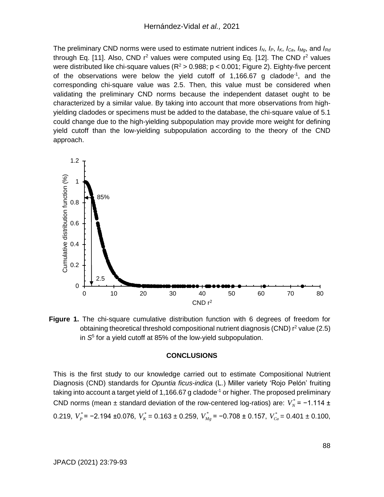The preliminary CND norms were used to estimate nutrient indices *IN*, *IP*, *IK*, *ICa*, *IMg*, and *IRd* through Eq. [11]. Also, CND  $r^2$  values were computed using Eq. [12]. The CND  $r^2$  values were distributed like chi-square values ( $R^2 > 0.988$ ; p < 0.001; Figure 2). Eighty-five percent of the observations were below the yield cutoff of  $1,166.67$  g cladode<sup>-1</sup>, and the corresponding chi-square value was 2.5. Then, this value must be considered when validating the preliminary CND norms because the independent dataset ought to be characterized by a similar value. By taking into account that more observations from highyielding cladodes or specimens must be added to the database, the chi-square value of 5.1 could change due to the high-yielding subpopulation may provide more weight for defining yield cutoff than the low-yielding subpopulation according to the theory of the CND approach.



**Figure 1.** The chi-square cumulative distribution function with 6 degrees of freedom for obtaining theoretical threshold compositional nutrient diagnosis (CND)  $r^2$  value (2.5) in *S* 5 for a yield cutoff at 85% of the low-yield subpopulation.

#### **CONCLUSIONS**

This is the first study to our knowledge carried out to estimate Compositional Nutrient Diagnosis (CND) standards for *Opuntia ficus-indica* (L.) Miller variety 'Rojo Pelón' fruiting taking into account a target yield of 1,166.67 g cladode<sup>-1</sup> or higher. The proposed preliminary CND norms (mean  $\pm$  standard deviation of the row-centered log-ratios) are:  $V_N^* = -1.114 \pm 1.00$ 0.219,  $V_P^*$  = −2.194 ±0.076,  $V_K^*$  = 0.163 ± 0.259,  $V_{Mg}^*$  = −0.708 ± 0.157,  $V_{Ca}^*$  = 0.401 ± 0.100,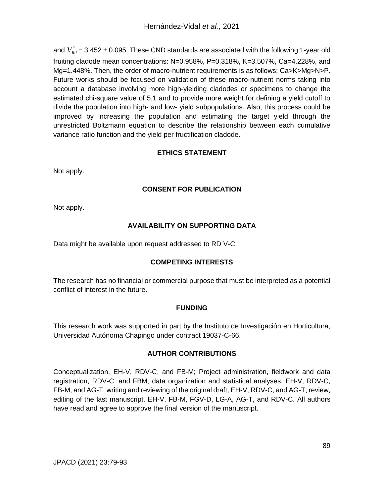and  $V^*_{Rd}$  = 3.452  $\pm$  0.095. These CND standards are associated with the following 1-year old fruiting cladode mean concentrations: N=0.958%, P=0.318%, K=3.507%, Ca=4.228%, and Mg=1.448%. Then, the order of macro-nutrient requirements is as follows: Ca>K>Mg>N>P. Future works should be focused on validation of these macro-nutrient norms taking into account a database involving more high-yielding cladodes or specimens to change the estimated chi-square value of 5.1 and to provide more weight for defining a yield cutoff to divide the population into high- and low- yield subpopulations. Also, this process could be improved by increasing the population and estimating the target yield through the unrestricted Boltzmann equation to describe the relationship between each cumulative variance ratio function and the yield per fructification cladode.

## **ETHICS STATEMENT**

Not apply.

## **CONSENT FOR PUBLICATION**

Not apply.

# **AVAILABILITY ON SUPPORTING DATA**

Data might be available upon request addressed to RD V-C.

# **COMPETING INTERESTS**

The research has no financial or commercial purpose that must be interpreted as a potential conflict of interest in the future.

## **FUNDING**

This research work was supported in part by the Instituto de Investigación en Horticultura, Universidad Autónoma Chapingo under contract 19037-C-66.

## **AUTHOR CONTRIBUTIONS**

Conceptualization, EH-V, RDV-C, and FB-M; Project administration, fieldwork and data registration, RDV-C, and FBM; data organization and statistical analyses, EH-V, RDV-C, FB-M, and AG-T; writing and reviewing of the original draft, EH-V, RDV-C, and AG-T; review, editing of the last manuscript, EH-V, FB-M, FGV-D, LG-A, AG-T, and RDV-C. All authors have read and agree to approve the final version of the manuscript.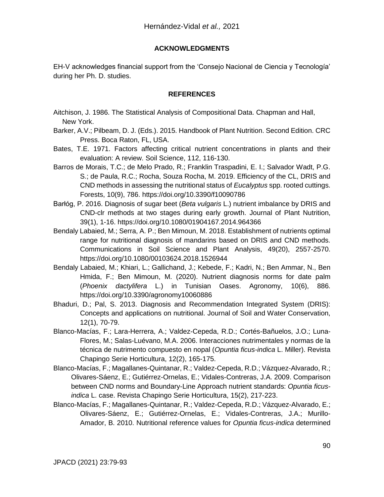### **ACKNOWLEDGMENTS**

EH-V acknowledges financial support from the 'Consejo Nacional de Ciencia y Tecnología' during her Ph. D. studies.

#### **REFERENCES**

- Aitchison, J. 1986. The Statistical Analysis of Compositional Data. Chapman and Hall, New York.
- Barker, A.V.; Pilbeam, D. J. (Eds.). 2015. Handbook of Plant Nutrition. Second Edition. CRC Press. Boca Raton, FL, USA.
- Bates, T.E. 1971. Factors affecting critical nutrient concentrations in plants and their evaluation: A review. Soil Science, 112, 116-130.
- Barros de Morais, T.C.; de Melo Prado, R.; Franklin Traspadini, E. I.; Salvador Wadt, P.G. S.; de Paula, R.C.; Rocha, Souza Rocha, M. 2019. Efficiency of the CL, DRIS and CND methods in assessing the nutritional status of *Eucalyptus* spp. rooted cuttings. Forests, 10(9), 786. https://doi.org/10.3390/f10090786
- Barłóg, P. 2016. Diagnosis of sugar beet (*Beta vulgaris* L.) nutrient imbalance by DRIS and CND-clr methods at two stages during early growth. Journal of Plant Nutrition, 39(1), 1-16. https://doi.org/10.1080/01904167.2014.964366
- Bendaly Labaied, M.; Serra, A. P.; Ben Mimoun, M. 2018. Establishment of nutrients optimal range for nutritional diagnosis of mandarins based on DRIS and CND methods. Communications in Soil Science and Plant Analysis, 49(20), 2557-2570. https://doi.org/10.1080/00103624.2018.1526944
- Bendaly Labaied, M.; Khiari, L.; Gallichand, J.; Kebede, F.; Kadri, N.; Ben Ammar, N., Ben Hmida, F.; Ben Mimoun, M. (2020). Nutrient diagnosis norms for date palm (*Phoenix dactylifera* L.) in Tunisian Oases. Agronomy, 10(6), 886. <https://doi.org/10.3390/agronomy10060886>
- Bhaduri, D.; Pal, S. 2013. Diagnosis and Recommendation Integrated System (DRIS): Concepts and applications on nutritional. Journal of Soil and Water Conservation, 12(1), 70-79.
- Blanco-Macías, F.; Lara-Herrera, A.; Valdez-Cepeda, R.D.; Cortés-Bañuelos, J.O.; Luna-Flores, M.; Salas-Luévano, M.A. 2006. Interacciones nutrimentales y normas de la técnica de nutrimento compuesto en nopal (*Opuntia ficus-indica* L. Miller). Revista Chapingo Serie Horticultura, 12(2), 165-175.
- Blanco-Macías, F.; Magallanes-Quintanar, R.; Valdez-Cepeda, R.D.; Vázquez-Alvarado, R.; Olivares-Sáenz, E.; Gutiérrez-Ornelas, E.; Vidales-Contreras, J.A. 2009. Comparison between CND norms and Boundary-Line Approach nutrient standards: *Opuntia ficusindica* L. case. Revista Chapingo Serie Horticultura, 15(2), 217-223.
- Blanco-Macías, F.; Magallanes-Quintanar, R.; Valdez-Cepeda, R.D.; Vázquez-Alvarado, E.; Olivares-Sáenz, E.; Gutiérrez-Ornelas, E.; Vidales-Contreras, J.A.; Murillo-Amador, B. 2010. Nutritional reference values for *Opuntia ficus-indica* determined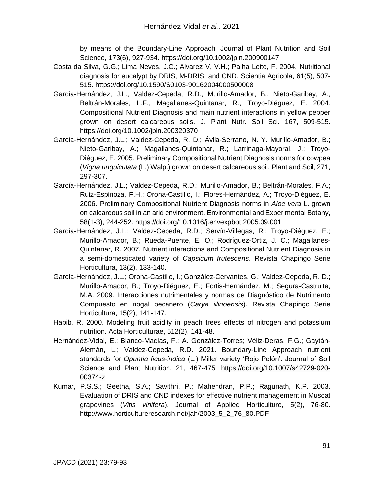by means of the Boundary-Line Approach. Journal of Plant Nutrition and Soil Science, 173(6), 927-934. https://doi.org/10.1002/jpln.200900147

- Costa da Silva, G.G.; Lima Neves, J.C.; Alvarez V, V.H.; Palha Leite, F. 2004. Nutritional diagnosis for eucalypt by DRIS, M-DRIS, and CND. Scientia Agricola, 61(5), 507- 515. https://doi.org/10.1590/S0103-90162004000500008
- García-Hernández, J.L., Valdez-Cepeda, R.D., Murillo-Amador, B., Nieto-Garibay, A., Beltrán-Morales, L.F., Magallanes-Quintanar, R., Troyo-Diéguez, E. 2004. Compositional Nutrient Diagnosis and main nutrient interactions in yellow pepper grown on desert calcareous soils. J. Plant Nutr. Soil Sci. 167, 509-515. https://doi.org/10.1002/jpln.200320370
- García-Hernández, J.L.; Valdez-Cepeda, R. D.; Ávila-Serrano, N. Y. Murillo-Amador, B.; Nieto-Garibay, A.; Magallanes-Quintanar, R.; Larrinaga-Mayoral, J.; Troyo-Diéguez, E. 2005. Preliminary Compositional Nutrient Diagnosis norms for cowpea (*Vigna unguiculata* (L.) Walp.) grown on desert calcareous soil. Plant and Soil, 271, 297-307.
- García-Hernández, J.L.; Valdez-Cepeda, R.D.; Murillo-Amador, B.; Beltrán-Morales, F.A.; Ruiz-Espinoza, F.H.; Orona-Castillo, I.; Flores-Hernández, A.; Troyo-Diéguez, E. 2006. Preliminary Compositional Nutrient Diagnosis norms in *Aloe vera* L. grown on calcareous soil in an arid environment. Environmental and Experimental Botany, 58(1-3), 244-252. https://doi.org/10.1016/j.envexpbot.2005.09.001
- García-Hernández, J.L.; Valdez-Cepeda, R.D.; Servín-Villegas, R.; Troyo-Diéguez, E.; Murillo-Amador, B.; Rueda-Puente, E. O.; Rodríguez-Ortiz, J. C.; Magallanes-Quintanar, R. 2007. Nutrient interactions and Compositional Nutrient Diagnosis in a semi-domesticated variety of *Capsicum frutescens*. Revista Chapingo Serie Horticultura, 13(2), 133-140.
- García-Hernández, J.L.; Orona-Castillo, I.; González-Cervantes, G.; Valdez-Cepeda, R. D.; Murillo-Amador, B.; Troyo-Diéguez, E.; Fortis-Hernández, M.; Segura-Castruita, M.A. 2009. Interacciones nutrimentales y normas de Diagnóstico de Nutrimento Compuesto en nogal pecanero (*Carya illinoensis*). Revista Chapingo Serie Horticultura, 15(2), 141-147.
- Habib, R. 2000. Modeling fruit acidity in peach trees effects of nitrogen and potassium nutrition. Acta Horticulturae, 512(2), 141-48.
- Hernández-Vidal, E.; Blanco-Macías, F.; A. González-Torres; Véliz-Deras, F.G.; Gaytán-Alemán, L.; Valdez-Cepeda, R.D. 2021. Boundary-Line Approach nutrient standards for *Opuntia ficus-indica* (L.) Miller variety 'Rojo Pelón'. Journal of Soil Science and Plant Nutrition, 21, 467-475. https://doi.org/10.1007/s42729-020- 00374-z
- Kumar, P.S.S.; Geetha, S.A.; Savithri, P.; Mahendran, P.P.; Ragunath, K.P. 2003. Evaluation of DRIS and CND indexes for effective nutrient management in Muscat grapevines (*Vitis vinifera*). Journal of Applied Horticulture, 5(2), 76-80. http://www.horticultureresearch.net/jah/2003\_5\_2\_76\_80.PDF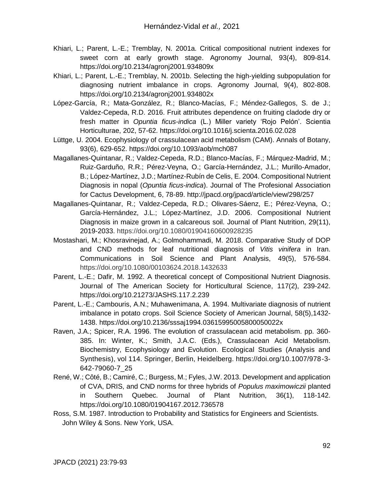- Khiari, L.; Parent, L.-E.; Tremblay, N. 2001a. Critical compositional nutrient indexes for sweet corn at early growth stage. Agronomy Journal, 93(4), 809-814. https://doi.org/10.2134/agronj2001.934809x
- Khiari, L.; Parent, L.-E.; Tremblay, N. 2001b. Selecting the high-yielding subpopulation for diagnosing nutrient imbalance in crops. Agronomy Journal, 9(4), 802-808. https://doi.org/10.2134/agronj2001.934802x
- López-García, R.; Mata-González, R.; Blanco-Macías, F.; Méndez-Gallegos, S. de J.; Valdez-Cepeda, R.D. 2016. Fruit attributes dependence on fruiting cladode dry or fresh matter in *Opuntia ficus-indica* (L.) Miller variety 'Rojo Pelón'. Scientia Horticulturae, 202, 57-62. https://doi.org/10.1016/j.scienta.2016.02.028
- Lüttge, U. 2004. Ecophysiology of crassulacean acid metabolism (CAM). Annals of Botany, 93(6), 629-652. https://doi.org/10.1093/aob/mch087
- Magallanes-Quintanar, R.; Valdez-Cepeda, R.D.; Blanco-Macías, F.; Márquez-Madrid, M.; Ruiz-Garduño, R.R.; Pérez-Veyna, O.; García-Hernández, J.L.; Murillo-Amador, B.; López-Martínez, J.D.; Martínez-Rubín de Celis, E. 2004. Compositional Nutrient Diagnosis in nopal (*Opuntia ficus-indica*). Journal of The Profesional Association for Cactus Development, 6, 78-89. http://jpacd.org/jpacd/article/view/298/257
- Magallanes-Quintanar, R.; Valdez-Cepeda, R.D.; Olivares-Sáenz, E.; Pérez-Veyna, O.; García-Hernández, J.L.; López-Martínez, J.D. 2006. Compositional Nutrient Diagnosis in maize grown in a calcareous soil. Journal of Plant Nutrition, 29(11), 2019-2033. https://doi.org/10.1080/01904160600928235
- Mostashari, M.; Khosravinejad, A.; Golmohammadi, M. 2018. Comparative Study of DOP and CND methods for leaf nutritional diagnosis of *Vitis vinifera* in Iran. Communications in Soil Science and Plant Analysis, 49(5), 576-584. https://doi.org/10.1080/00103624.2018.1432633
- Parent, L.-E.; Dafir, M. 1992. A theoretical concept of Compositional Nutrient Diagnosis. Journal of The American Society for Horticultural Science, 117(2), 239-242. https://doi.org/10.21273/JASHS.117.2.239
- Parent, L.-E.; Cambouris, A.N.; Muhawenimana, A. 1994. Multivariate diagnosis of nutrient imbalance in potato crops. Soil Science Society of American Journal, 58(5),1432- 1438. https://doi.org/10.2136/sssaj1994.03615995005800050022x
- Raven, J.A.; Spicer, R.A. 1996. The evolution of crassulacean acid metabolism. pp. 360- 385. In: Winter, K.; Smith, J.A.C. (Eds.), Crassulacean Acid Metabolism. Biochemistry, Ecophysiology and Evolution. Ecological Studies (Analysis and Synthesis), vol 114. Springer, Berlin, Heidelberg. https://doi.org/10.1007/978-3- 642-79060-7\_25
- René, W.; Côté, B.; Camiré, C.; Burgess, M.; Fyles, J.W. 2013. Development and application of CVA, DRIS, and CND norms for three hybrids of *Populus maximowiczii* planted in Southern Quebec. Journal of Plant Nutrition, 36(1), 118-142. https://doi.org/10.1080/01904167.2012.736578
- Ross, S.M. 1987. Introduction to Probability and Statistics for Engineers and Scientists. John Wiley & Sons. New York, USA.